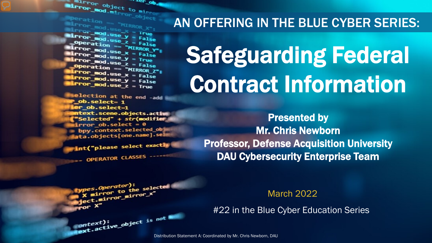The Department of the Minnesotation of the Minnesotation of the Minnesotation of the Minnesotation of the Minnesotation of the Minnesotation of the Minnesotation of the Minnesotation of the Minnesotation of the Minnesotati The object to mine ...er op

**Marchation == "MIRROR\_x";<br>Mirror\_mod.use\_x = True**<br>Mirror\_mod.use\_x = True  $\begin{array}{rcl} \text{Lip}_\text{C} & \text{Lip}_\text{C} & \text{Lip}_\text{C} \ \text{Lip}_\text{C} & \text{Cip}_\text{C} & \text{Lip}_\text{C} \ \text{Lip}_\text{C} & \text{Cip}_\text{C} & \text{Lip}_\text{C} \ \text{Lip}_\text{C} & \text{Lip}_\text{C} & \text{Lip}_\text{C} & \text{Lip}_\text{C} \ \text{Lip}_\text{C} & \text{Lip}_\text{C} & \text{Lip}_\text{C} \ \text{Lip}_\text{C} & \text{Lip}_\text$  $\begin{array}{rcl} \text{irror\_mod-use} & & & \text{irue} \\ \text{irror\_mod-use} & & & \text{False} \\ \text{Operation} & = & \text{``Mrppace} \\ \end{array}$ **Operation == "MIRROR\_Y"**<br>**IPror\_mod.use x = False**<br>APROR\_Mod.use x = "MIRROR\_Y" **Example ation**<br> **Example 2 x = False**<br> **Example 2 x = False**<br> **Example 2 x = False**  $\frac{mod \cdot use_x}{irror\_mod \cdot use_y} = False$  $\frac{1}{2}$  True<br> $\frac{1}{2}$  True<br> $\frac{1}{2}$  Depending  $\frac{1}{2}$  = False **Operation == "MIRROR\_Z":**<br><u>Letter mod</u> use ...  $\begin{array}{rcl} \textbf{I} \textbf{r} \textbf{r} \textbf{r} \textbf{r} \textbf{r} \textbf{r} \textbf{r} \textbf{r} \textbf{r} \textbf{r} \textbf{r} \textbf{r} \textbf{r} \textbf{r} \textbf{r} \textbf{r} \textbf{r} \textbf{r} \textbf{r} \textbf{r} \textbf{r} \textbf{r} \textbf{r} \textbf{r} \textbf{r} \textbf{r} \textbf{r} \textbf{r} \textbf{r} \textbf{r} \textbf{r} \textbf{r} \textbf{r} \textbf{r} \text$  $I$ Pror\_mod.use\_ $x = False$ <br> $I$ Pror\_mod.use\_ $y = False$  $Irror_modeluse_y = False$ 

**election at the end -add ob.select=1** er\_ob.select=1 **itext.scene.objects.active** "Selected" + str(modifier  $Error_ ob. select =  $0$$ bpy.context.selected\_ob ata.objects[one.name].sel

int("please select exactly

e*s.Operator*):<br>mirror\_to\_the\_selected;<br>i\_mirror\_mirror\_x"

OPERATOR CLASSES

pes.Operator):<br>n to the

Superior to the strain of the strain of the strain of the strain of the strain of the strain of the strain of the strain of the strain of the strain of the strain of the strain of the strain of the strain of the strain of

#### AN OFFERING IN THE BLUE CYBER SERIES:

## Safeguarding Federal Contract Information

Presented by Mr. Chris Newborn Professor, Defense Acquisition University DAU Cybersecurity Enterprise Team

March 2022

#22 in the Blue Cyber Education Series

Distribution Statement A: Coordinated by Mr. Chris Newborn, DAU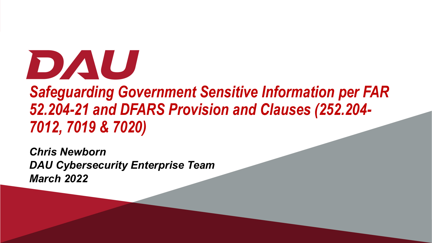

### *Safeguarding Government Sensitive Information per FAR 52.204-21 and DFARS Provision and Clauses (252.204- 7012, 7019 & 7020)*

*Chris Newborn DAU Cybersecurity Enterprise Team March 2022*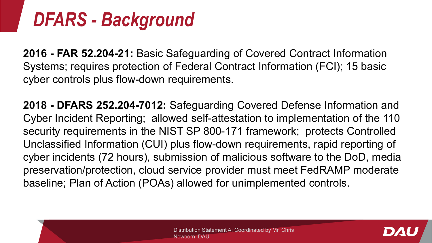## *DFARS - Background*

**2016 - FAR 52.204-21:** Basic Safeguarding of Covered Contract Information Systems; requires protection of Federal Contract Information (FCI); 15 basic cyber controls plus flow-down requirements.

**2018 - DFARS 252.204-7012:** Safeguarding Covered Defense Information and Cyber Incident Reporting; allowed self-attestation to implementation of the 110 security requirements in the NIST SP 800-171 framework; protects Controlled Unclassified Information (CUI) plus flow-down requirements, rapid reporting of cyber incidents (72 hours), submission of malicious software to the DoD, media preservation/protection, cloud service provider must meet FedRAMP moderate baseline; Plan of Action (POAs) allowed for unimplemented controls.

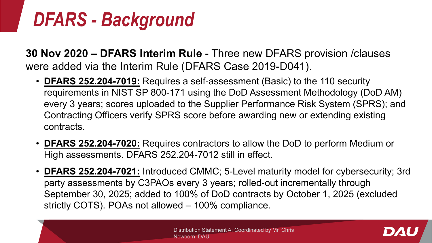## *DFARS - Background*

**30 Nov 2020 – DFARS Interim Rule** - Three new DFARS provision /clauses were added via the Interim Rule (DFARS Case 2019-D041).

- **DFARS 252.204-7019:** Requires a self-assessment (Basic) to the 110 security requirements in NIST SP 800-171 using the DoD Assessment Methodology (DoD AM) every 3 years; scores uploaded to the Supplier Performance Risk System (SPRS); and Contracting Officers verify SPRS score before awarding new or extending existing contracts.
- **DFARS 252.204-7020:** Requires contractors to allow the DoD to perform Medium or High assessments. DFARS 252.204-7012 still in effect.
- **DFARS 252.204-7021:** Introduced CMMC; 5-Level maturity model for cybersecurity; 3rd party assessments by C3PAOs every 3 years; rolled-out incrementally through September 30, 2025; added to 100% of DoD contracts by October 1, 2025 (excluded strictly COTS). POAs not allowed – 100% compliance.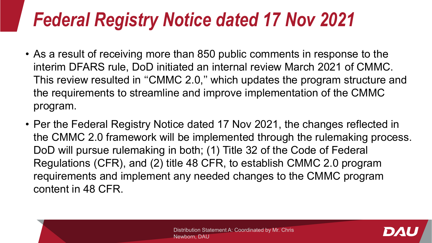## *Federal Registry Notice dated 17 Nov 2021*

- As a result of receiving more than 850 public comments in response to the interim DFARS rule, DoD initiated an internal review March 2021 of CMMC. This review resulted in ''CMMC 2.0,'' which updates the program structure and the requirements to streamline and improve implementation of the CMMC program.
- Per the Federal Registry Notice dated 17 Nov 2021, the changes reflected in the CMMC 2.0 framework will be implemented through the rulemaking process. DoD will pursue rulemaking in both; (1) Title 32 of the Code of Federal Regulations (CFR), and (2) title 48 CFR, to establish CMMC 2.0 program requirements and implement any needed changes to the CMMC program content in 48 CFR.

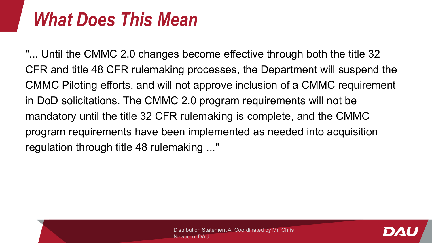### *What Does This Mean*

"... Until the CMMC 2.0 changes become effective through both the title 32 CFR and title 48 CFR rulemaking processes, the Department will suspend the CMMC Piloting efforts, and will not approve inclusion of a CMMC requirement in DoD solicitations. The CMMC 2.0 program requirements will not be mandatory until the title 32 CFR rulemaking is complete, and the CMMC program requirements have been implemented as needed into acquisition regulation through title 48 rulemaking ..."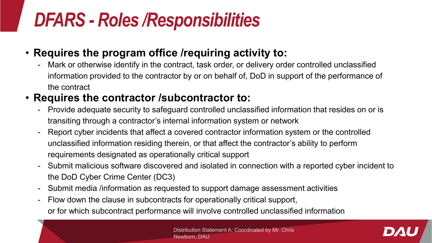## *DFARS - Roles /Responsibilities*

#### • **Requires the program office /requiring activity to:**

- Mark or otherwise identify in the contract, task order, or delivery order controlled unclassified information provided to the contractor by or on behalf of, DoD in support of the performance of the contract

#### • **Requires the contractor /subcontractor to:**

- Provide adequate security to safeguard controlled unclassified information that resides on or is transiting through a contractor's internal information system or network
- Report cyber incidents that affect a covered contractor information system or the controlled unclassified information residing therein, or that affect the contractor's ability to perform requirements designated as operationally critical support
- Submit malicious software discovered and isolated in connection with a reported cyber incident to the DoD Cyber Crime Center (DC3)
- Submit media /information as requested to support damage assessment activities
- Flow down the clause in subcontracts for operationally critical support, or for which subcontract performance will involve controlled unclassified information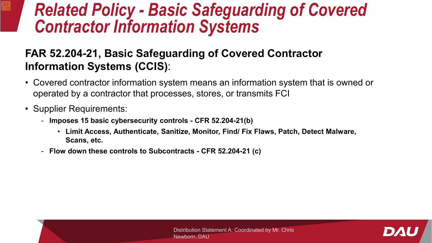# *Related Policy - Basic Safeguarding of Covered Contractor Information Systems*

#### **FAR 52.204-21, Basic Safeguarding of Covered Contractor Information Systems (CCIS)**:

- Covered contractor information system means an information system that is owned or operated by a contractor that processes, stores, or transmits FCI
- Supplier Requirements:
	- **Imposes 15 basic cybersecurity controls - CFR 52.204-21(b)**
		- **Limit Access, Authenticate, Sanitize, Monitor, Find/ Fix Flaws, Patch, Detect Malware, Scans, etc.**
	- **Flow down these controls to Subcontracts - CFR 52.204-21 (c)**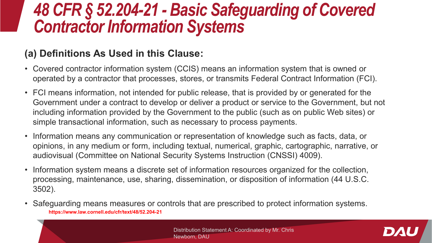# *48 CFR § 52.204-21 - Basic Safeguarding of Covered Contractor Information Systems*

#### **(a) Definitions As Used in this Clause:**

- Covered contractor information system (CCIS) means an information system that is owned or operated by a contractor that processes, stores, or transmits Federal Contract Information (FCI).
- FCI means information, not intended for public release, that is provided by or generated for the Government under a contract to develop or deliver a product or service to the Government, but not including information provided by the Government to the public (such as on public Web sites) or simple transactional information, such as necessary to process payments.
- Information means any communication or representation of knowledge such as facts, data, or opinions, in any medium or form, including textual, numerical, graphic, cartographic, narrative, or audiovisual (Committee on National Security Systems Instruction (CNSSI) 4009).
- Information system means a discrete set of information resources organized for the collection, processing, maintenance, use, sharing, dissemination, or disposition of information (44 U.S.C. 3502).
- Safeguarding means measures or controls that are prescribed to protect information systems. **https://www.law.cornell.edu/cfr/text/48/52.204-21**

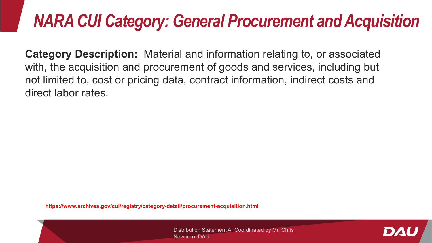### *NARA CUI Category: General Procurement and Acquisition*

**Category Description:** Material and information relating to, or associated with, the acquisition and procurement of goods and services, including but not limited to, cost or pricing data, contract information, indirect costs and direct labor rates.

**https://www.archives.gov/cui/registry/category-detail/procurement-acquisition.html**

Distribution Statement A: Coordinated by Mr. Chris Newborn, DAU

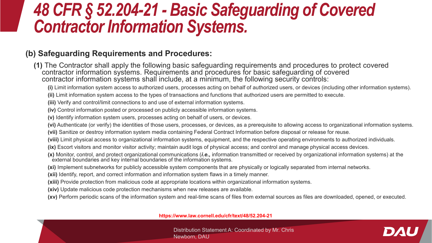# *48 CFR § 52.204-21 - Basic Safeguarding of Covered Contractor Information Systems.*

#### **(b) Safeguarding Requirements and Procedures:**

**(1)** The Contractor shall apply the following basic safeguarding requirements and procedures to protect covered contractor information systems. Requirements and procedures for basic safeguarding of covered contractor information systems shall include, at a minimum, the following security controls:

**(i)** Limit information system access to authorized users, processes acting on behalf of authorized users, or devices (including other information systems).

**(ii)** Limit information system access to the types of transactions and functions that authorized users are permitted to execute.

**(iii)** Verify and control/limit connections to and use of external information systems.

**(iv)** Control information posted or processed on publicly accessible information systems.

**(v)** Identify information system users, processes acting on behalf of users, or devices.

**(vi)** Authenticate (or verify) the identities of those users, processes, or devices, as a prerequisite to allowing access to organizational information systems.

**(vii)** Sanitize or destroy information system media containing Federal Contract Information before disposal or release for reuse.

**(viii)** Limit physical access to organizational information systems, equipment, and the respective operating environments to authorized individuals.

- **(ix)** Escort visitors and monitor visitor activity; maintain audit logs of physical access; and control and manage physical access devices.
- **(x)** Monitor, control, and protect organizational communications (*i.e.,* information transmitted or received by organizational information systems) at the external boundaries and key internal boundaries of the information systems.
- **(xi)** Implement subnetworks for publicly accessible system components that are physically or logically separated from internal networks.
- **(xii)** Identify, report, and correct information and information system flaws in a timely manner.
- **(xiii)** Provide protection from malicious code at appropriate locations within organizational information systems.
- **(xiv)** Update malicious code protection mechanisms when new releases are available.
- **(xv)** Perform periodic scans of the information system and real-time scans of files from external sources as files are downloaded, opened, or executed.

**https://www.law.cornell.edu/cfr/text/48/52.204-21**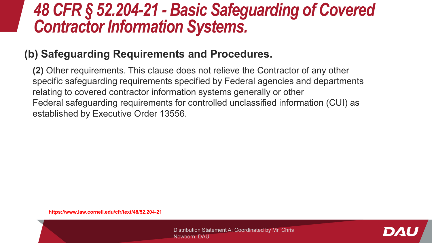## *48 CFR § 52.204-21 - Basic Safeguarding of Covered Contractor Information Systems.*

#### **(b) Safeguarding Requirements and Procedures.**

**(2)** Other requirements. This clause does not relieve the Contractor of any other specific safeguarding requirements specified by Federal agencies and departments relating to covered contractor information systems generally or other Federal safeguarding requirements for controlled unclassified information (CUI) as established by Executive Order 13556.

**https://www.law.cornell.edu/cfr/text/48/52.204-21**

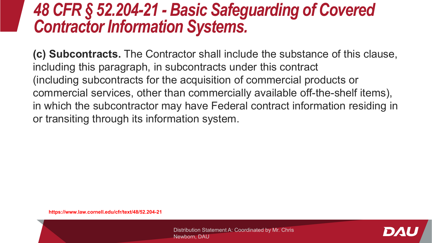## *48 CFR § 52.204-21 - Basic Safeguarding of Covered Contractor Information Systems.*

**(c) Subcontracts.** The Contractor shall include the substance of this clause, including this paragraph, in subcontracts under this contract (including subcontracts for the acquisition of commercial products or commercial services, other than commercially available off-the-shelf items), in which the subcontractor may have Federal contract information residing in or transiting through its information system.

**https://www.law.cornell.edu/cfr/text/48/52.204-21**

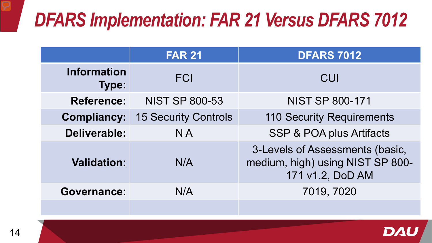## *DFARS Implementation: FAR 21 Versus DFARS 7012*

|                                    | <b>FAR 21</b>               | <b>DFARS 7012</b>                                                                       |
|------------------------------------|-----------------------------|-----------------------------------------------------------------------------------------|
| <b>Information</b><br><b>Type:</b> | <b>FCI</b>                  | CUI                                                                                     |
| <b>Reference:</b>                  | <b>NIST SP 800-53</b>       | <b>NIST SP 800-171</b>                                                                  |
| <b>Compliancy:</b>                 | <b>15 Security Controls</b> | <b>110 Security Requirements</b>                                                        |
| <b>Deliverable:</b>                | <b>NA</b>                   | <b>SSP &amp; POA plus Artifacts</b>                                                     |
| <b>Validation:</b>                 | N/A                         | 3-Levels of Assessments (basic,<br>medium, high) using NIST SP 800-<br>171 v1.2, DoD AM |
| <b>Governance:</b>                 | N/A                         | 7019, 7020                                                                              |
|                                    |                             |                                                                                         |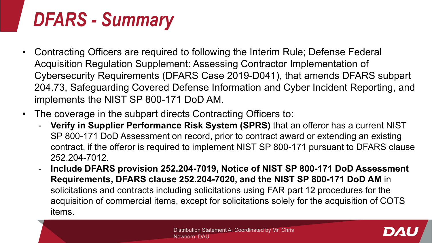## *DFARS - Summary*

- Contracting Officers are required to following the Interim Rule; Defense Federal Acquisition Regulation Supplement: Assessing Contractor Implementation of Cybersecurity Requirements (DFARS Case 2019-D041), that amends DFARS subpart 204.73, Safeguarding Covered Defense Information and Cyber Incident Reporting, and implements the NIST SP 800-171 DoD AM.
- The coverage in the subpart directs Contracting Officers to:
	- **Verify in Supplier Performance Risk System (SPRS)** that an offeror has a current NIST SP 800-171 DoD Assessment on record, prior to contract award or extending an existing contract, if the offeror is required to implement NIST SP 800-171 pursuant to DFARS clause 252.204-7012.
	- **Include DFARS provision 252.204-7019, Notice of NIST SP 800-171 DoD Assessment Requirements, DFARS clause 252.204-7020, and the NIST SP 800-171 DoD AM** in solicitations and contracts including solicitations using FAR part 12 procedures for the acquisition of commercial items, except for solicitations solely for the acquisition of COTS items.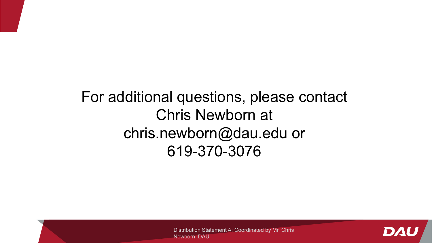### For additional questions, please contact Chris Newborn at chris.newborn@dau.edu or 619-370-3076